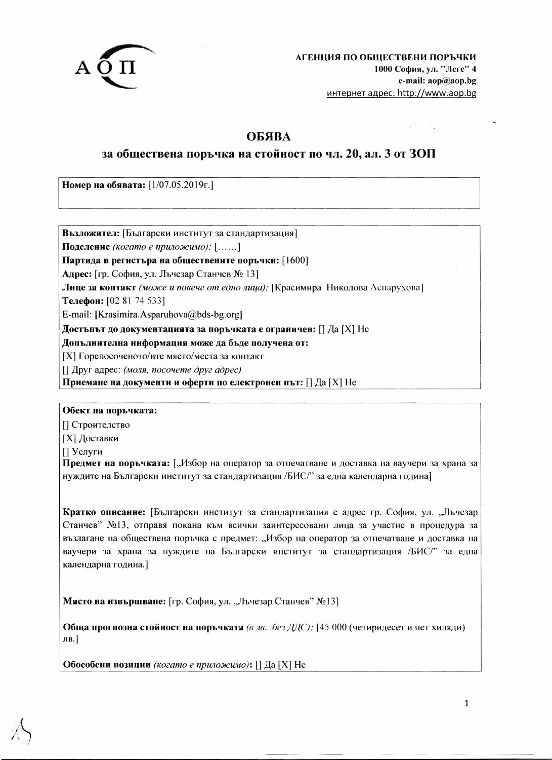

# **ОБЯВА**

## за обществена поръчка на стойност по чл. 20, ал. 3 от ЗОП

Номер на обявата: [1/07.05.2019г.]

Възложител: [Български институт за стандартизация] Поделение (когато е приложимо): [......] Партида в регистъра на обществените поръчки: [1600] Адрес: [гр. София, ул. Лъчезар Станчев № 13] Лице за контакт (може и повече от едно лица): [Красимира Николова Аспарухова] Телефон: [02 81 74 533] E-mail: [Krasimira.Asparuhova@bds-bg.org] Достъпът до документацията за поръчката е ограничен: [] Да [X] Не Допълнителна информация може да бъде получена от: [X] Горепосоченото/ите място/места за контакт  $\Box$  Друг адрес: (моля, посочете друг адрес)

Приемане на документи и оферти по електронен път: [] Да [X] Не

Обект на поръчката:

[] Строителство

[X] Доставки

[] Услуги

Предмет на поръчката: ["Избор на оператор за отпечатване и доставка на ваучери за храна за нуждите на Български институт за стандартизация /БИС/" за една календарна година]

Кратко описание: [Български институт за стандартизация с адрес гр. София, ул. "Лъчезар Станчев" №13, отправя покана към всички заинтересовани лица за участие в процедура за възлагане на обществена поръчка с предмет: "Избор на оператор за отпечатване и доставка на ваучери за храна за нуждите на Български институт за стандартизация /БИС/" за една календарна година.]

Място на извършване: [гр. София, ул. "Лъчезар Станчев" №13]

Обща прогнозна стойност на поръчката (в лв., без ДДС): [45 000 (четиридесет и пет хиляди) лв.]

Обособени позиции (когато е приложимо): [] Да [X] Не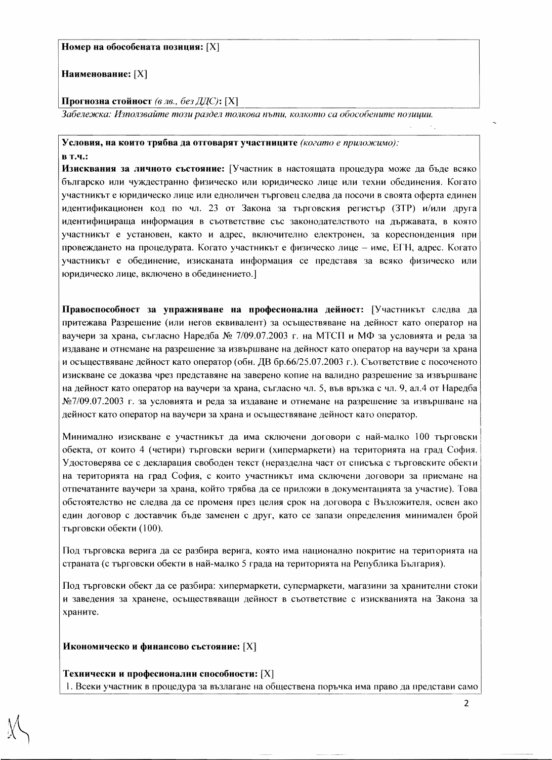Наименование: [X]

#### Прогнозна стойност (в лв., без ДДС): [X]

Забележка: Използвайте този раздел толкова пъти, колкото са обособените позиции.

### Условия, на които трябва да отговарят участниците (когато е приложимо):

**B.T.4.:** 

Изисквания за личното състояние: [Участник в настоящата процедура може да бъде всяко българско или чуждестранно физическо или юридическо лице или техни обединения. Когато участникът е юридическо лице или едноличен търговец следва да посочи в своята оферта единен идентификационен код по чл. 23 от Закона за търговския регистър (ЗТР) и/или друга идентифицираща информация в съответствие със законодателството на държавата, в която участникът е установен, както и адрес, включително електронен, за кореспонденция при провеждането на процедурата. Когато участникът е физическо лице – име, ЕГН, адрес. Когато участникът е обединение, изисканата информация се представя за всяко физическо или юридическо лице, включено в обединението.

Правоспособност за упражняване на професионална дейност: [Участникът следва да притежава Разрешение (или негов еквивалент) за осъществяване на дейност като оператор на ваучери за храна, съгласно Наредба № 7/09.07.2003 г. на МТСП и МФ за условията и реда за издаване и отнемане на разрешение за извършване на дейност като оператор на ваучери за храна и осъществяване дейност като оператор (обн. ДВ бр.66/25.07.2003 г.). Съответствие с посоченото изискване се доказва чрез представяне на заверено копие на валидно разрешение за извършване на дейност като оператор на ваучери за храна, съгласно чл. 5, във връзка с чл. 9, ал.4 от Наредба  $N_{2}/09.07.2003$  г. за условията и реда за издаване и отнемане на разрешение за извършване на дейност като оператор на ваучери за храна и осъществяване дейност като оператор.

Минимално изискване е участникът да има сключени договори с най-малко 100 търговски обекта, от които 4 (четири) търговски вериги (хипермаркети) на територията на град София. Удостоверява се с декларация свободен текст (неразделна част от списъка с търговските обекти на територията на град София, с които участникът има сключени договори за приемане на отпечатаните ваучери за храна, който трябва да се приложи в документацията за участие). Това обстоятелство не следва да се променя през целия срок на договора с Възложителя, освен ако един договор с доставчик бъде заменен с друг, като се запази определения минимален брой търговски обекти (100).

Под търговска верига да се разбира верига, която има национално покритие на територията на страната (с търговски обекти в най-малко 5 града на територията на Република България).

Под търговски обект да се разбира: хипермаркети, супермаркети, магазини за хранителни стоки и заведения за хранене, осъществяващи дейност в съответствие с изискванията на Закона за храните.

Икономическо и финансово състояние: [X]

Технически и професионални способности: [X]

1. Всеки участник в процедура за възлагане на обществена поръчка има право да представи само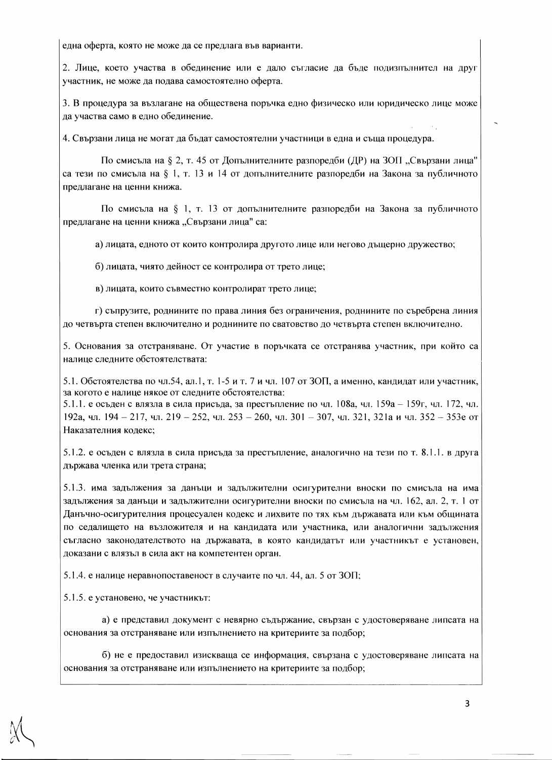една оферта, която не може да се предлага във варианти.

2. Лице, което участва в обединение или е дало съгласие да бъде подизпълнител на друг участник, не може да подава самостоятелно оферта.

3. В процедура за възлагане на обществена поръчка едно физическо или юридическо лице може да участва само в едно обединение.

4. Свързани лица не могат да бъдат самостоятелни участници в една и съща процедура.

По смисъла на § 2, т. 45 от Допълнителните разпоредби (ДР) на ЗОП "Свързани лица" са тези по смисъла на § 1, т. 13 и 14 от допълнителните разпоредби на Закона за публичното предлагане на ценни книжа.

По смисъла на § 1, т. 13 от допълнителните разпоредби на Закона за публичното предлагане на ценни книжа "Свързани лица" са:

а) лицата, едното от които контролира другото лице или негово дъщерно дружество;

б) лицата, чиято дейност се контролира от трето лице;

в) лицата, които съвместно контролират трето лице;

г) съпрузите, роднините по права линия без ограничения, роднините по съребрена линия до четвърта степен включително и роднините по сватовство до четвърта степен включително.

5. Основания за отстраняване. От участие в поръчката се отстранява участник, при който са налице следните обстоятелствата:

5.1. Обстоятелства по чл.54, ал.1, т. 1-5 и т. 7 и чл. 107 от ЗОП, а именно, кандидат или участник, за когото е налице някое от следните обстоятелства:

5.1.1. е осъден с влязла в сила присъда, за престъпление по чл. 108а, чл. 159а - 159г, чл. 172, чл. 192а, чл. 194 - 217, чл. 219 - 252, чл. 253 - 260, чл. 301 - 307, чл. 321, 321а и чл. 352 - 353е от Наказателния кодекс;

5.1.2. е осъден с влязла в сила присъда за престъпление, аналогично на тези по т. 8.1.1. в друга държава членка или трета страна;

5.1.3. има задължения за данъци и задължителни осигурителни вноски по смисъла на има задължения за данъци и задължителни осигурителни вноски по смисъла на чл. 162, ал. 2, т. 1 от Данъчно-осигурителния процесуален кодекс и лихвите по тях към държавата или към общината по седалището на възложителя и на кандидата или участника, или аналогични задължения съгласно законодателството на държавата, в която кандидатът или участникът е установен, доказани с влязъл в сила акт на компетентен орган.

5.1.4. е налице неравнопоставеност в случаите по чл. 44, ал. 5 от ЗОП;

5.1.5. е установено, че участникът:

а) е представил документ с невярно съдържание, свързан с удостоверяване липсата на основания за отстраняване или изпълнението на критериите за подбор;

б) не е предоставил изискваща се информация, свързана с удостоверяване липсата на основания за отстраняване или изпълнението на критериите за подбор;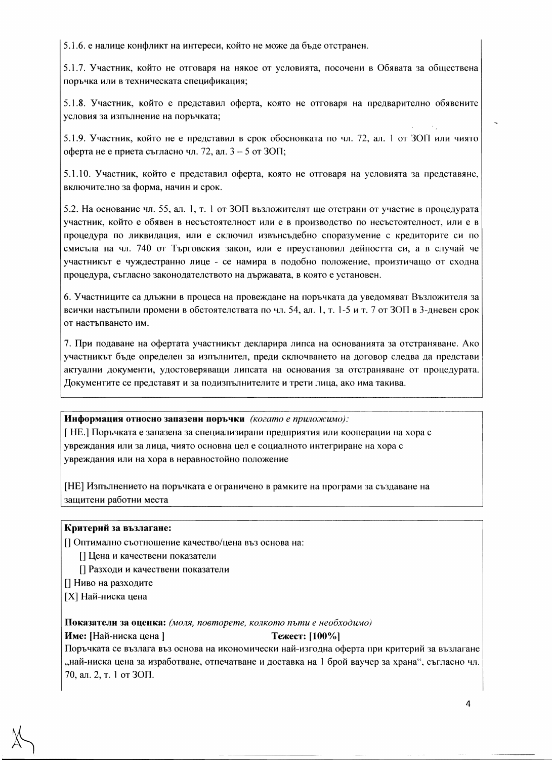5.1.6. е налице конфликт на интереси, който не може да бъде отстранен.

5.1.7. Участник, който не отговаря на някое от условията, посочени в Обявата за обществена поръчка или в техническата спецификация;

5.1.8. Участник, който е представил оферта, която не отговаря на предварително обявените условия за изпълнение на поръчката;

5.1.9. Участник, който не е представил в срок обосновката по чл. 72, ал. 1 от ЗОП или чиято оферта не е приета съгласно чл. 72, ал. 3 - 5 от ЗОП;

5.1.10. Участник, който е представил оферта, която не отговаря на условията за представяне, включително за форма, начин и срок.

5.2. На основание чл. 55, ал. 1, т. 1 от ЗОП възложителят ще отстрани от участие в процедурата участник, който е обявен в несъстоятелност или е в производство по несъстоятелност, или е в процедура по ликвидация, или е сключил извънсъдебно споразумение с кредиторите си по смисъла на чл. 740 от Търговския закон, или е преустановил дейността си, а в случай че участникът е чуждестранно лице - се намира в подобно положение, произтичащо от сходна процедура, съгласно законодателството на държавата, в която е установен.

6. Участниците са длъжни в процеса на провеждане на поръчката да уведомяват Възложителя за всички настъпили промени в обстоятелствата по чл. 54, ал. 1, т. 1-5 и т. 7 от ЗОП в 3-дневен срок от настъпването им.

7. При подаване на офертата участникът декларира липса на основанията за отстраняване. Ако участникът бъде определен за изпълнител, преди сключването на договор следва да представи актуални документи, удостоверяващи липсата на основания за отстраняване от процедурата. Документите се представят и за подизпълнителите и трети лица, ако има такива.

Информация относно запазени поръчки (когато е приложимо):

[НЕ.] Поръчката е запазена за специализирани предприятия или кооперации на хора с увреждания или за лица, чиято основна цел е социалното интегриране на хора с увреждания или на хора в неравностойно положение

[НЕ] Изпълнението на поръчката е ограничено в рамките на програми за създаване на защитени работни места

#### Критерий за възлагане:

П Оптимално съотношение качество/цена въз основа на:

[] Цена и качествени показатели

[] Разходи и качествени показатели

П Ниво на разходите

[X] Най-ниска цена

Показатели за оценка: (моля, повторете, колкото пъти е необходимо)

Име: [Най-ниска цена] Тежест: [100%] Поръчката се възлага въз основа на икономически най-изгодна оферта при критерий за възлагане "най-ниска цена за изработване, отпечатване и доставка на 1 брой ваучер за храна", съгласно чл. 70, ал. 2, т. 1 от ЗОП.